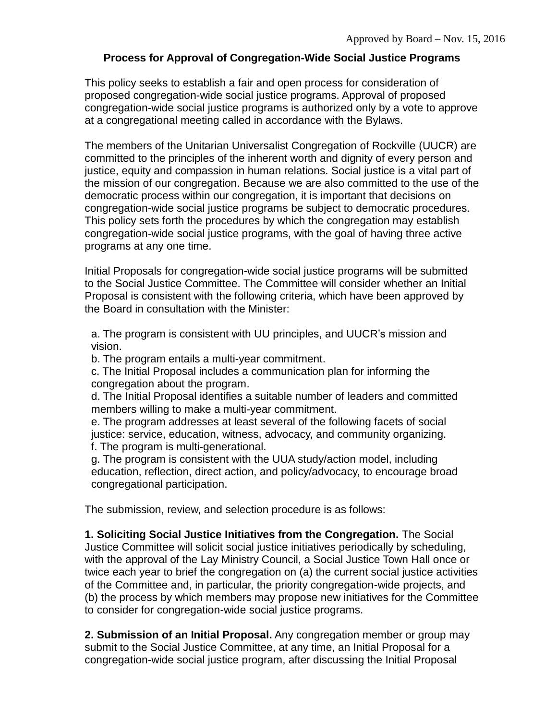## **Process for Approval of Congregation-Wide Social Justice Programs**

This policy seeks to establish a fair and open process for consideration of proposed congregation-wide social justice programs. Approval of proposed congregation-wide social justice programs is authorized only by a vote to approve at a congregational meeting called in accordance with the Bylaws.

The members of the Unitarian Universalist Congregation of Rockville (UUCR) are committed to the principles of the inherent worth and dignity of every person and justice, equity and compassion in human relations. Social justice is a vital part of the mission of our congregation. Because we are also committed to the use of the democratic process within our congregation, it is important that decisions on congregation-wide social justice programs be subject to democratic procedures. This policy sets forth the procedures by which the congregation may establish congregation-wide social justice programs, with the goal of having three active programs at any one time.

Initial Proposals for congregation-wide social justice programs will be submitted to the Social Justice Committee. The Committee will consider whether an Initial Proposal is consistent with the following criteria, which have been approved by the Board in consultation with the Minister:

a. The program is consistent with UU principles, and UUCR's mission and vision.

b. The program entails a multi-year commitment.

c. The Initial Proposal includes a communication plan for informing the congregation about the program.

d. The Initial Proposal identifies a suitable number of leaders and committed members willing to make a multi-year commitment.

e. The program addresses at least several of the following facets of social justice: service, education, witness, advocacy, and community organizing. f. The program is multi-generational.

g. The program is consistent with the UUA study/action model, including education, reflection, direct action, and policy/advocacy, to encourage broad congregational participation.

The submission, review, and selection procedure is as follows:

**1. Soliciting Social Justice Initiatives from the Congregation.** The Social Justice Committee will solicit social justice initiatives periodically by scheduling, with the approval of the Lay Ministry Council, a Social Justice Town Hall once or twice each year to brief the congregation on (a) the current social justice activities of the Committee and, in particular, the priority congregation-wide projects, and (b) the process by which members may propose new initiatives for the Committee to consider for congregation-wide social justice programs.

**2. Submission of an Initial Proposal.** Any congregation member or group may submit to the Social Justice Committee, at any time, an Initial Proposal for a congregation-wide social justice program, after discussing the Initial Proposal